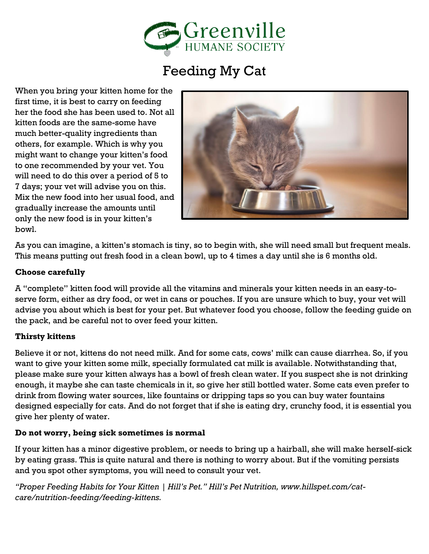

## Feeding My Cat

When you bring your kitten home for the first time, it is best to carry on feeding her the food she has been used to. Not all kitten foods are the same-some have much better-quality ingredients than others, for example. Which is why you might want to change your kitten's food to one recommended by your vet. You will need to do this over a period of 5 to 7 days; your vet will advise you on this. Mix the new food into her usual food, and gradually increase the amounts until only the new food is in your kitten's bowl.



As you can imagine, a kitten's stomach is tiny, so to begin with, she will need small but frequent meals. This means putting out fresh food in a clean bowl, up to 4 times a day until she is 6 months old.

## **Choose carefully**

A "complete" kitten food will provide all the vitamins and minerals your kitten needs in an easy-toserve form, either as dry food, or wet in cans or pouches. If you are unsure which to buy, your vet will advise you about which is best for your pet. But whatever food you choose, follow the feeding guide on the pack, and be careful not to over feed your kitten.

## **Thirsty kittens**

Believe it or not, kittens do not need milk. And for some cats, cows' milk can cause diarrhea. So, if you want to give your kitten some milk, specially formulated cat milk is available. Notwithstanding that, please make sure your kitten always has a bowl of fresh clean water. If you suspect she is not drinking enough, it maybe she can taste chemicals in it, so give her still bottled water. Some cats even prefer to drink from flowing water sources, like fountains or dripping taps so you can buy water fountains designed especially for cats. And do not forget that if she is eating dry, crunchy food, it is essential you give her plenty of water.

## **Do not worry, being sick sometimes is normal**

If your kitten has a minor digestive problem, or needs to bring up a hairball, she will make herself-sick by eating grass. This is quite natural and there is nothing to worry about. But if the vomiting persists and you spot other symptoms, you will need to consult your vet.

*"Proper Feeding Habits for Your Kitten | Hill's Pet." Hill's Pet Nutrition, www.hillspet.com/catcare/nutrition-feeding/feeding-kittens.*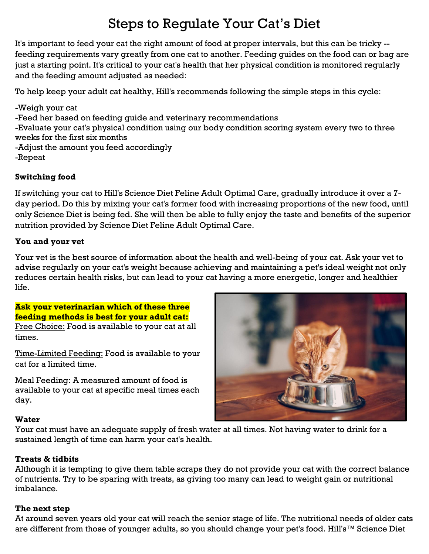## Steps to Regulate Your Cat's Diet

It's important to feed your cat the right amount of food at proper intervals, but this can be tricky - feeding requirements vary greatly from one cat to another. Feeding guides on the food can or bag are just a starting point. It's critical to your cat's health that her physical condition is monitored regularly and the feeding amount adjusted as needed:

To help keep your adult cat healthy, Hill's recommends following the simple steps in this cycle:

-Weigh your cat -Feed her based on feeding guide and veterinary recommendations -Evaluate your cat's physical condition using our body condition scoring system every two to three weeks for the first six months -Adjust the amount you feed accordingly -Repeat

## **Switching food**

If switching your cat to Hill's Science Diet Feline Adult Optimal Care, gradually introduce it over a 7 day period. Do this by mixing your cat's former food with increasing proportions of the new food, until only Science Diet is being fed. She will then be able to fully enjoy the taste and benefits of the superior nutrition provided by Science Diet Feline Adult Optimal Care.

## **You and your vet**

Your vet is the best source of information about the health and well-being of your cat. Ask your vet to advise regularly on your cat's weight because achieving and maintaining a pet's ideal weight not only reduces certain health risks, but can lead to your cat having a more energetic, longer and healthier life.

## **Ask your veterinarian which of these three feeding methods is best for your adult cat:**

Free Choice: Food is available to your cat at all times.

Time-Limited Feeding: Food is available to your cat for a limited time.

Meal Feeding: A measured amount of food is available to your cat at specific meal times each day.



## **Water**

Your cat must have an adequate supply of fresh water at all times. Not having water to drink for a sustained length of time can harm your cat's health.

## **Treats & tidbits**

Although it is tempting to give them table scraps they do not provide your cat with the correct balance of nutrients. Try to be sparing with treats, as giving too many can lead to weight gain or nutritional imbalance.

## **The next step**

At around seven years old your cat will reach the senior stage of life. The nutritional needs of older cats are different from those of younger adults, so you should change your pet's food. Hill's™ Science Diet